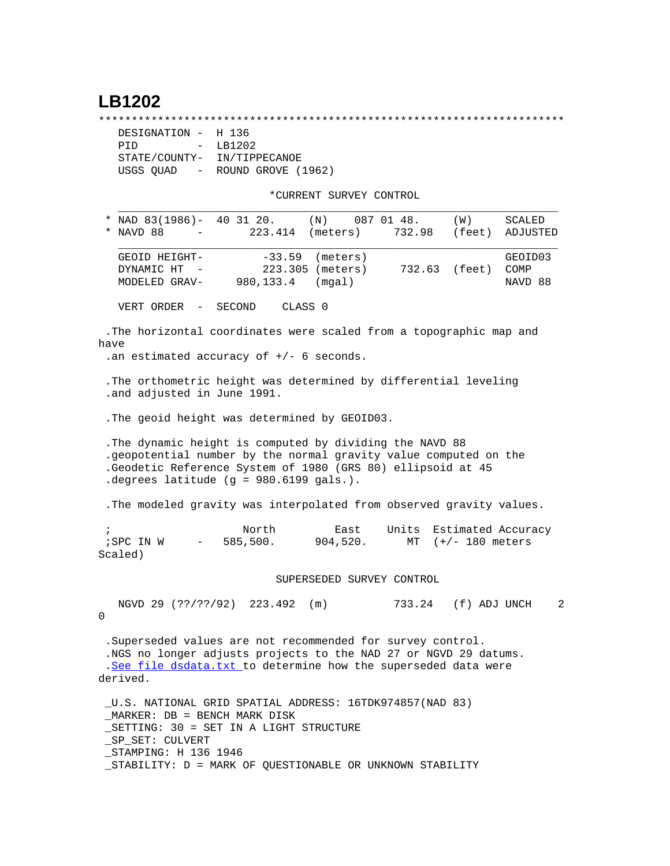## **LB1202**

\*\*\*\*\*\*\*\*\*\*\*\*\*\*\*\*\*\*\*\*\*\*\*\*\*\*\*\*\*\*\*\*\*\*\*\*\*\*\*\*\*\*\*\*\*\*\*\*\*\*\*\*\*\*\*\*\*\*\*\*\*\*\*\*\*\*\*\*\*\*\*

| DESIGNATION - H 136         |                    |
|-----------------------------|--------------------|
| PTD                         | $-$ LB1202         |
| STATE/COUNTY- IN/TIPPECANOE |                    |
| USGS OUAD -                 | ROUND GROVE (1962) |

\*CURRENT SURVEY CONTROL

|            | * NAD 83(1986)- 40 31 20.<br>* NAVD 88<br>223.414<br>$\overline{\phantom{a}}$                                                                                                                                                          | $(N)$ 087 01 48.<br>(meters)                              |        | (W)<br>732.98 (feet) ADJUSTED                 | SCALED                     |  |  |  |  |  |
|------------|----------------------------------------------------------------------------------------------------------------------------------------------------------------------------------------------------------------------------------------|-----------------------------------------------------------|--------|-----------------------------------------------|----------------------------|--|--|--|--|--|
|            | GEOID HEIGHT-<br>DYNAMIC HT<br>MODELED GRAV-                                                                                                                                                                                           | $-33.59$ (meters)<br>223.305 (meters)<br>980,133.4 (mgal) | 732.63 | (feet)                                        | GEOID03<br>COMP<br>NAVD 88 |  |  |  |  |  |
|            | VERT ORDER -<br>SECOND                                                                                                                                                                                                                 | CLASS <sub>0</sub>                                        |        |                                               |                            |  |  |  |  |  |
| have       | . The horizontal coordinates were scaled from a topographic map and<br>.an estimated accuracy of $+/-$ 6 seconds.                                                                                                                      |                                                           |        |                                               |                            |  |  |  |  |  |
|            | . The orthometric height was determined by differential leveling<br>.and adjusted in June 1991.                                                                                                                                        |                                                           |        |                                               |                            |  |  |  |  |  |
|            | . The geoid height was determined by GEOID03.                                                                                                                                                                                          |                                                           |        |                                               |                            |  |  |  |  |  |
|            | . The dynamic height is computed by dividing the NAVD 88<br>.geopotential number by the normal gravity value computed on the<br>.Geodetic Reference System of 1980 (GRS 80) ellipsoid at 45<br>.degrees latitude (g = 980.6199 gals.). |                                                           |        |                                               |                            |  |  |  |  |  |
|            | . The modeled gravity was interpolated from observed gravity values.                                                                                                                                                                   |                                                           |        |                                               |                            |  |  |  |  |  |
| $\ddot{i}$ | North<br>$i$ SPC IN W $-$ 585,500. 904,520.<br>Scaled)                                                                                                                                                                                 | East                                                      | MT     | Units Estimated Accuracy<br>$(+/- 180$ meters |                            |  |  |  |  |  |
|            | SUPERSEDED SURVEY CONTROL                                                                                                                                                                                                              |                                                           |        |                                               |                            |  |  |  |  |  |
| $\Omega$   | NGVD 29 (??/??/92) 223.492                                                                                                                                                                                                             | (m)                                                       | 733.24 | (f) ADJ UNCH                                  | $\overline{2}$             |  |  |  |  |  |
|            | . Superseded values are not recommended for survey control.<br>.NGS no longer adjusts projects to the NAD 27 or NGVD 29 datums.<br>.See file dsdata.txt to determine how the superseded data were<br>derived.                          |                                                           |        |                                               |                            |  |  |  |  |  |

 \_U.S. NATIONAL GRID SPATIAL ADDRESS: 16TDK974857(NAD 83) \_MARKER: DB = BENCH MARK DISK \_SETTING: 30 = SET IN A LIGHT STRUCTURE \_SP\_SET: CULVERT \_STAMPING: H 136 1946 \_STABILITY: D = MARK OF QUESTIONABLE OR UNKNOWN STABILITY